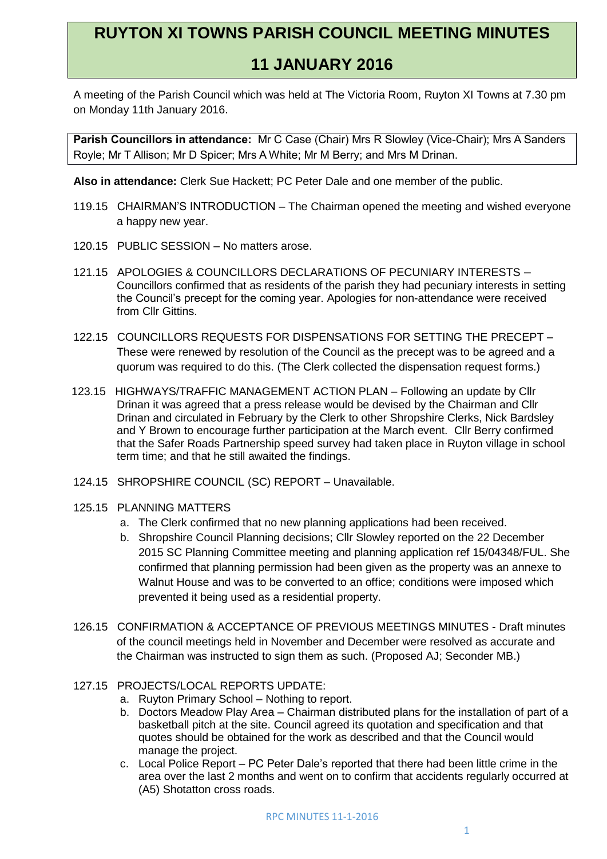## **RUYTON XI TOWNS PARISH COUNCIL MEETING MINUTES**

## **11 JANUARY 2016**

A meeting of the Parish Council which was held at The Victoria Room, Ruyton XI Towns at 7.30 pm on Monday 11th January 2016.

**Parish Councillors in attendance:** Mr C Case (Chair) Mrs R Slowley (Vice-Chair); Mrs A Sanders Royle; Mr T Allison; Mr D Spicer; Mrs A White; Mr M Berry; and Mrs M Drinan.

**Also in attendance:** Clerk Sue Hackett; PC Peter Dale and one member of the public.

- 119.15 CHAIRMAN'S INTRODUCTION The Chairman opened the meeting and wished everyone a happy new year.
- 120.15 PUBLIC SESSION No matters arose.
- 121.15 APOLOGIES & COUNCILLORS DECLARATIONS OF PECUNIARY INTERESTS Councillors confirmed that as residents of the parish they had pecuniary interests in setting the Council's precept for the coming year. Apologies for non-attendance were received from Cllr Gittins.
- 122.15 COUNCILLORS REQUESTS FOR DISPENSATIONS FOR SETTING THE PRECEPT These were renewed by resolution of the Council as the precept was to be agreed and a quorum was required to do this. (The Clerk collected the dispensation request forms.)
- 123.15 HIGHWAYS/TRAFFIC MANAGEMENT ACTION PLAN Following an update by Cllr Drinan it was agreed that a press release would be devised by the Chairman and Cllr Drinan and circulated in February by the Clerk to other Shropshire Clerks, Nick Bardsley and Y Brown to encourage further participation at the March event. Cllr Berry confirmed that the Safer Roads Partnership speed survey had taken place in Ruyton village in school term time; and that he still awaited the findings.
- 124.15 SHROPSHIRE COUNCIL (SC) REPORT Unavailable.
- 125.15 PLANNING MATTERS
	- a. The Clerk confirmed that no new planning applications had been received.
	- b. Shropshire Council Planning decisions; Cllr Slowley reported on the 22 December 2015 SC Planning Committee meeting and planning application ref 15/04348/FUL. She confirmed that planning permission had been given as the property was an annexe to Walnut House and was to be converted to an office; conditions were imposed which prevented it being used as a residential property.
- 126.15 CONFIRMATION & ACCEPTANCE OF PREVIOUS MEETINGS MINUTES Draft minutes of the council meetings held in November and December were resolved as accurate and the Chairman was instructed to sign them as such. (Proposed AJ; Seconder MB.)
- 127.15 PROJECTS/LOCAL REPORTS UPDATE:
	- a. Ruyton Primary School Nothing to report.
	- b. Doctors Meadow Play Area Chairman distributed plans for the installation of part of a basketball pitch at the site. Council agreed its quotation and specification and that quotes should be obtained for the work as described and that the Council would manage the project.
	- c. Local Police Report PC Peter Dale's reported that there had been little crime in the area over the last 2 months and went on to confirm that accidents regularly occurred at (A5) Shotatton cross roads.